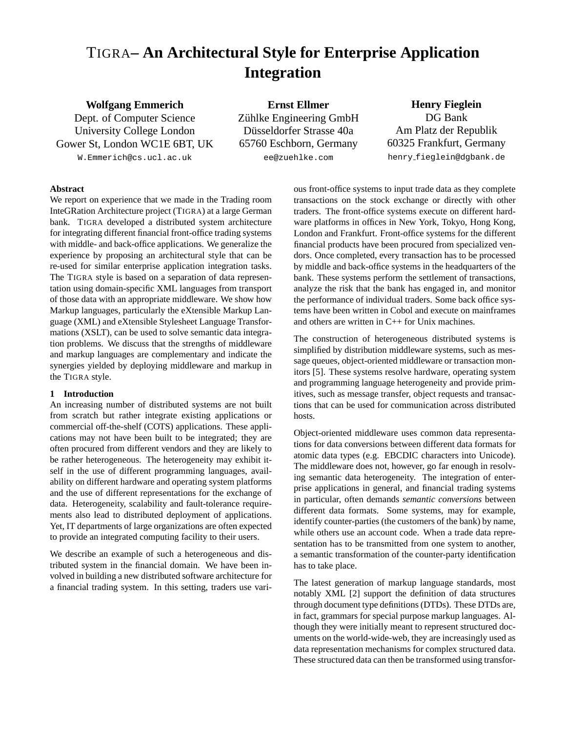# TIGRA**– An Architectural Style for Enterprise Application Integration**

## **Wolfgang Emmerich**

Dept. of Computer Science University College London Gower St, London WC1E 6BT, UK W.Emmerich@cs.ucl.ac.uk

**Ernst Ellmer** Zühlke Engineering GmbH Düsseldorfer Strasse 40a 65760 Eschborn, Germany ee@zuehlke.com

**Henry Fieglein** DG Bank Am Platz der Republik 60325 Frankfurt, Germany henry fieglein@dgbank.de

## **Abstract**

We report on experience that we made in the Trading room InteGRation Architecture project (TIGRA) at a large German bank. TIGRA developed a distributed system architecture for integrating different financial front-office trading systems with middle- and back-office applications. We generalize the experience by proposing an architectural style that can be re-used for similar enterprise application integration tasks. The TIGRA style is based on a separation of data representation using domain-specific XML languages from transport of those data with an appropriate middleware. We show how Markup languages, particularly the eXtensible Markup Language (XML) and eXtensible Stylesheet Language Transformations (XSLT), can be used to solve semantic data integration problems. We discuss that the strengths of middleware and markup languages are complementary and indicate the synergies yielded by deploying middleware and markup in the TIGRA style.

#### **1 Introduction**

An increasing number of distributed systems are not built from scratch but rather integrate existing applications or commercial off-the-shelf (COTS) applications. These applications may not have been built to be integrated; they are often procured from different vendors and they are likely to be rather heterogeneous. The heterogeneity may exhibit itself in the use of different programming languages, availability on different hardware and operating system platforms and the use of different representations for the exchange of data. Heterogeneity, scalability and fault-tolerance requirements also lead to distributed deployment of applications. Yet, IT departments of large organizations are often expected to provide an integrated computing facility to their users.

We describe an example of such a heterogeneous and distributed system in the financial domain. We have been involved in building a new distributed software architecture for a financial trading system. In this setting, traders use various front-office systems to input trade data as they complete transactions on the stock exchange or directly with other traders. The front-office systems execute on different hardware platforms in offices in New York, Tokyo, Hong Kong, London and Frankfurt. Front-office systems for the different financial products have been procured from specialized vendors. Once completed, every transaction has to be processed by middle and back-office systems in the headquarters of the bank. These systems perform the settlement of transactions, analyze the risk that the bank has engaged in, and monitor the performance of individual traders. Some back office systems have been written in Cobol and execute on mainframes and others are written in C++ for Unix machines.

The construction of heterogeneous distributed systems is simplified by distribution middleware systems, such as message queues, object-oriented middleware or transaction monitors [5]. These systems resolve hardware, operating system and programming language heterogeneity and provide primitives, such as message transfer, object requests and transactions that can be used for communication across distributed hosts.

Object-oriented middleware uses common data representations for data conversions between different data formats for atomic data types (e.g. EBCDIC characters into Unicode). The middleware does not, however, go far enough in resolving semantic data heterogeneity. The integration of enterprise applications in general, and financial trading systems in particular, often demands *semantic conversions* between different data formats. Some systems, may for example, identify counter-parties (the customers of the bank) by name, while others use an account code. When a trade data representation has to be transmitted from one system to another, a semantic transformation of the counter-party identification has to take place.

The latest generation of markup language standards, most notably XML [2] support the definition of data structures through document type definitions (DTDs). These DTDs are, in fact, grammars for special purpose markup languages. Although they were initially meant to represent structured documents on the world-wide-web, they are increasingly used as data representation mechanisms for complex structured data. These structured data can then be transformed using transfor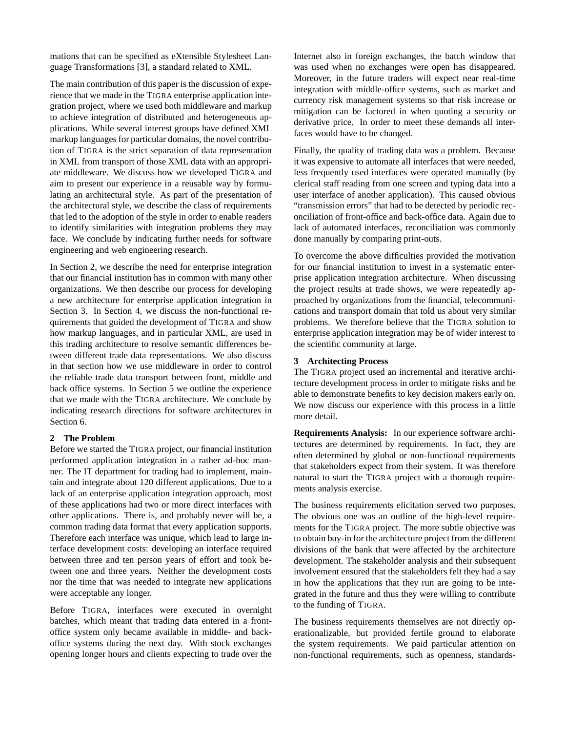mations that can be specified as eXtensible Stylesheet Language Transformations [3], a standard related to XML.

The main contribution of this paper is the discussion of experience that we made in the TIGRA enterprise application integration project, where we used both middleware and markup to achieve integration of distributed and heterogeneous applications. While several interest groups have defined XML markup languages for particular domains, the novel contribution of TIGRA is the strict separation of data representation in XML from transport of those XML data with an appropriate middleware. We discuss how we developed TIGRA and aim to present our experience in a reusable way by formulating an architectural style. As part of the presentation of the architectural style, we describe the class of requirements that led to the adoption of the style in order to enable readers to identify similarities with integration problems they may face. We conclude by indicating further needs for software engineering and web engineering research.

In Section 2, we describe the need for enterprise integration that our financial institution has in common with many other organizations. We then describe our process for developing a new architecture for enterprise application integration in Section 3. In Section 4, we discuss the non-functional requirements that guided the development of TIGRA and show how markup languages, and in particular XML, are used in this trading architecture to resolve semantic differences between different trade data representations. We also discuss in that section how we use middleware in order to control the reliable trade data transport between front, middle and back office systems. In Section 5 we outline the experience that we made with the TIGRA architecture. We conclude by indicating research directions for software architectures in Section 6.

## **2 The Problem**

Before we started the TIGRA project, our financial institution performed application integration in a rather ad-hoc manner. The IT department for trading had to implement, maintain and integrate about 120 different applications. Due to a lack of an enterprise application integration approach, most of these applications had two or more direct interfaces with other applications. There is, and probably never will be, a common trading data format that every application supports. Therefore each interface was unique, which lead to large interface development costs: developing an interface required between three and ten person years of effort and took between one and three years. Neither the development costs nor the time that was needed to integrate new applications were acceptable any longer.

Before TIGRA, interfaces were executed in overnight batches, which meant that trading data entered in a frontoffice system only became available in middle- and backoffice systems during the next day. With stock exchanges opening longer hours and clients expecting to trade over the

Internet also in foreign exchanges, the batch window that was used when no exchanges were open has disappeared. Moreover, in the future traders will expect near real-time integration with middle-office systems, such as market and currency risk management systems so that risk increase or mitigation can be factored in when quoting a security or derivative price. In order to meet these demands all interfaces would have to be changed.

Finally, the quality of trading data was a problem. Because it was expensive to automate all interfaces that were needed, less frequently used interfaces were operated manually (by clerical staff reading from one screen and typing data into a user interface of another application). This caused obvious "transmission errors" that had to be detected by periodic reconciliation of front-office and back-office data. Again due to lack of automated interfaces, reconciliation was commonly done manually by comparing print-outs.

To overcome the above difficulties provided the motivation for our financial institution to invest in a systematic enterprise application integration architecture. When discussing the project results at trade shows, we were repeatedly approached by organizations from the financial, telecommunications and transport domain that told us about very similar problems. We therefore believe that the TIGRA solution to enterprise application integration may be of wider interest to the scientific community at large.

#### **3 Architecting Process**

The TIGRA project used an incremental and iterative architecture development process in order to mitigate risks and be able to demonstrate benefits to key decision makers early on. We now discuss our experience with this process in a little more detail.

**Requirements Analysis:** In our experience software architectures are determined by requirements. In fact, they are often determined by global or non-functional requirements that stakeholders expect from their system. It was therefore natural to start the TIGRA project with a thorough requirements analysis exercise.

The business requirements elicitation served two purposes. The obvious one was an outline of the high-level requirements for the TIGRA project. The more subtle objective was to obtain buy-in for the architecture project from the different divisions of the bank that were affected by the architecture development. The stakeholder analysis and their subsequent involvement ensured that the stakeholders felt they had a say in how the applications that they run are going to be integrated in the future and thus they were willing to contribute to the funding of TIGRA.

The business requirements themselves are not directly operationalizable, but provided fertile ground to elaborate the system requirements. We paid particular attention on non-functional requirements, such as openness, standards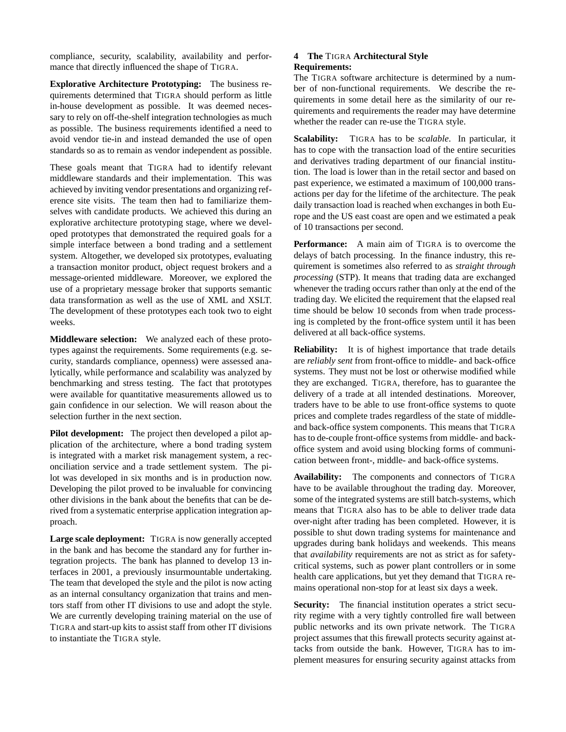compliance, security, scalability, availability and performance that directly influenced the shape of TIGRA.

**Explorative Architecture Prototyping:** The business requirements determined that TIGRA should perform as little in-house development as possible. It was deemed necessary to rely on off-the-shelf integration technologies as much as possible. The business requirements identified a need to avoid vendor tie-in and instead demanded the use of open standards so as to remain as vendor independent as possible.

These goals meant that TIGRA had to identify relevant middleware standards and their implementation. This was achieved by inviting vendor presentations and organizing reference site visits. The team then had to familiarize themselves with candidate products. We achieved this during an explorative architecture prototyping stage, where we developed prototypes that demonstrated the required goals for a simple interface between a bond trading and a settlement system. Altogether, we developed six prototypes, evaluating a transaction monitor product, object request brokers and a message-oriented middleware. Moreover, we explored the use of a proprietary message broker that supports semantic data transformation as well as the use of XML and XSLT. The development of these prototypes each took two to eight weeks.

**Middleware selection:** We analyzed each of these prototypes against the requirements. Some requirements (e.g. security, standards compliance, openness) were assessed analytically, while performance and scalability was analyzed by benchmarking and stress testing. The fact that prototypes were available for quantitative measurements allowed us to gain confidence in our selection. We will reason about the selection further in the next section.

**Pilot development:** The project then developed a pilot application of the architecture, where a bond trading system is integrated with a market risk management system, a reconciliation service and a trade settlement system. The pilot was developed in six months and is in production now. Developing the pilot proved to be invaluable for convincing other divisions in the bank about the benefits that can be derived from a systematic enterprise application integration approach.

**Large scale deployment:** TIGRA is now generally accepted in the bank and has become the standard any for further integration projects. The bank has planned to develop 13 interfaces in 2001, a previously insurmountable undertaking. The team that developed the style and the pilot is now acting as an internal consultancy organization that trains and mentors staff from other IT divisions to use and adopt the style. We are currently developing training material on the use of TIGRA and start-up kits to assist staff from other IT divisions to instantiate the TIGRA style.

## **4 The** TIGRA **Architectural Style**

**Requirements:**

The TIGRA software architecture is determined by a number of non-functional requirements. We describe the requirements in some detail here as the similarity of our requirements and requirements the reader may have determine whether the reader can re-use the TIGRA style.

**Scalability:** TIGRA has to be *scalable*. In particular, it has to cope with the transaction load of the entire securities and derivatives trading department of our financial institution. The load is lower than in the retail sector and based on past experience, we estimated a maximum of 100,000 transactions per day for the lifetime of the architecture. The peak daily transaction load is reached when exchanges in both Europe and the US east coast are open and we estimated a peak of 10 transactions per second.

**Performance:** A main aim of TIGRA is to overcome the delays of batch processing. In the finance industry, this requirement is sometimes also referred to as *straight through processing* (STP). It means that trading data are exchanged whenever the trading occurs rather than only at the end of the trading day. We elicited the requirement that the elapsed real time should be below 10 seconds from when trade processing is completed by the front-office system until it has been delivered at all back-office systems.

**Reliability:** It is of highest importance that trade details are *reliably sent* from front-office to middle- and back-office systems. They must not be lost or otherwise modified while they are exchanged. TIGRA, therefore, has to guarantee the delivery of a trade at all intended destinations. Moreover, traders have to be able to use front-office systems to quote prices and complete trades regardless of the state of middleand back-office system components. This means that TIGRA has to de-couple front-office systems from middle- and backoffice system and avoid using blocking forms of communication between front-, middle- and back-office systems.

**Availability:** The components and connectors of TIGRA have to be available throughout the trading day. Moreover, some of the integrated systems are still batch-systems, which means that TIGRA also has to be able to deliver trade data over-night after trading has been completed. However, it is possible to shut down trading systems for maintenance and upgrades during bank holidays and weekends. This means that *availability* requirements are not as strict as for safetycritical systems, such as power plant controllers or in some health care applications, but yet they demand that TIGRA remains operational non-stop for at least six days a week.

**Security:** The financial institution operates a strict security regime with a very tightly controlled fire wall between public networks and its own private network. The TIGRA project assumes that this firewall protects security against attacks from outside the bank. However, TIGRA has to implement measures for ensuring security against attacks from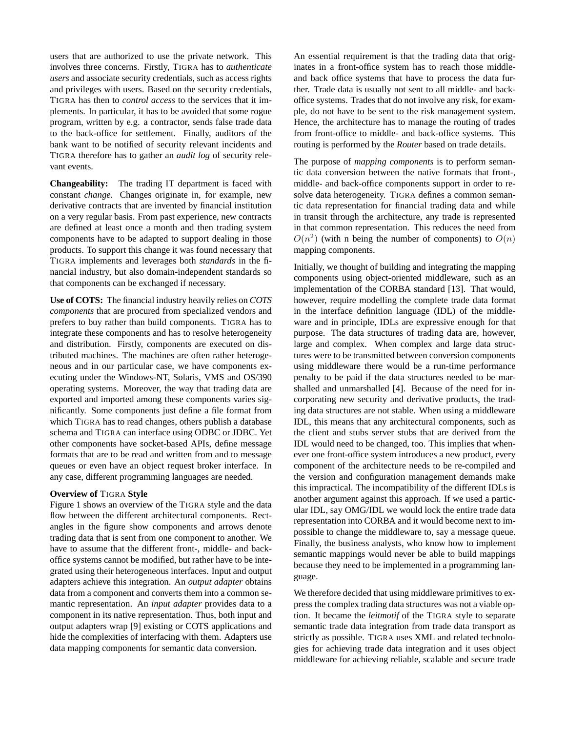users that are authorized to use the private network. This involves three concerns. Firstly, TIGRA has to *authenticate users* and associate security credentials, such as access rights and privileges with users. Based on the security credentials, TIGRA has then to *control access* to the services that it implements. In particular, it has to be avoided that some rogue program, written by e.g. a contractor, sends false trade data to the back-office for settlement. Finally, auditors of the bank want to be notified of security relevant incidents and TIGRA therefore has to gather an *audit log* of security relevant events.

**Changeability:** The trading IT department is faced with constant *change*. Changes originate in, for example, new derivative contracts that are invented by financial institution on a very regular basis. From past experience, new contracts are defined at least once a month and then trading system components have to be adapted to support dealing in those products. To support this change it was found necessary that TIGRA implements and leverages both *standards* in the financial industry, but also domain-independent standards so that components can be exchanged if necessary.

**Use of COTS:** The financial industry heavily relies on *COTS components* that are procured from specialized vendors and prefers to buy rather than build components. TIGRA has to integrate these components and has to resolve heterogeneity and distribution. Firstly, components are executed on distributed machines. The machines are often rather heterogeneous and in our particular case, we have components executing under the Windows-NT, Solaris, VMS and OS/390 operating systems. Moreover, the way that trading data are exported and imported among these components varies significantly. Some components just define a file format from which TIGRA has to read changes, others publish a database schema and TIGRA can interface using ODBC or JDBC. Yet other components have socket-based APIs, define message formats that are to be read and written from and to message queues or even have an object request broker interface. In any case, different programming languages are needed.

## **Overview of** TIGRA **Style**

Figure 1 shows an overview of the TIGRA style and the data flow between the different architectural components. Rectangles in the figure show components and arrows denote trading data that is sent from one component to another. We have to assume that the different front-, middle- and backoffice systems cannot be modified, but rather have to be integrated using their heterogeneous interfaces. Input and output adapters achieve this integration. An *output adapter* obtains data from a component and converts them into a common semantic representation. An *input adapter* provides data to a component in its native representation. Thus, both input and output adapters wrap [9] existing or COTS applications and hide the complexities of interfacing with them. Adapters use data mapping components for semantic data conversion.

An essential requirement is that the trading data that originates in a front-office system has to reach those middleand back office systems that have to process the data further. Trade data is usually not sent to all middle- and backoffice systems. Trades that do not involve any risk, for example, do not have to be sent to the risk management system. Hence, the architecture has to manage the routing of trades from front-office to middle- and back-office systems. This routing is performed by the *Router* based on trade details.

The purpose of *mapping components* is to perform semantic data conversion between the native formats that front-, middle- and back-office components support in order to resolve data heterogeneity. TIGRA defines a common semantic data representation for financial trading data and while in transit through the architecture, any trade is represented in that common representation. This reduces the need from  $O(n^2)$  (with n being the number of components) to  $O(n)$ mapping components.

Initially, we thought of building and integrating the mapping components using object-oriented middleware, such as an implementation of the CORBA standard [13]. That would, however, require modelling the complete trade data format in the interface definition language (IDL) of the middleware and in principle, IDLs are expressive enough for that purpose. The data structures of trading data are, however, large and complex. When complex and large data structures were to be transmitted between conversion components using middleware there would be a run-time performance penalty to be paid if the data structures needed to be marshalled and unmarshalled [4]. Because of the need for incorporating new security and derivative products, the trading data structures are not stable. When using a middleware IDL, this means that any architectural components, such as the client and stubs server stubs that are derived from the IDL would need to be changed, too. This implies that whenever one front-office system introduces a new product, every component of the architecture needs to be re-compiled and the version and configuration management demands make this impractical. The incompatibility of the different IDLs is another argument against this approach. If we used a particular IDL, say OMG/IDL we would lock the entire trade data representation into CORBA and it would become next to impossible to change the middleware to, say a message queue. Finally, the business analysts, who know how to implement semantic mappings would never be able to build mappings because they need to be implemented in a programming language.

We therefore decided that using middleware primitives to express the complex trading data structures was not a viable option. It became the *leitmotif* of the TIGRA style to separate semantic trade data integration from trade data transport as strictly as possible. TIGRA uses XML and related technologies for achieving trade data integration and it uses object middleware for achieving reliable, scalable and secure trade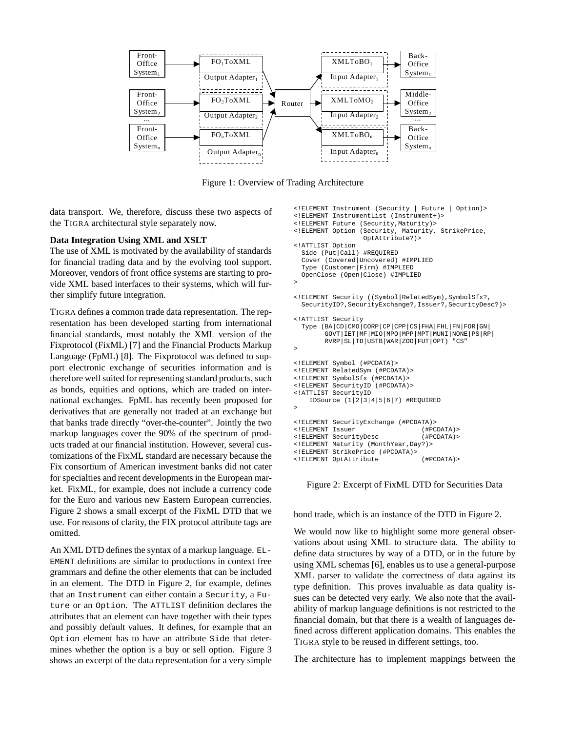

Figure 1: Overview of Trading Architecture

data transport. We, therefore, discuss these two aspects of the TIGRA architectural style separately now.

#### **Data Integration Using XML and XSLT**

The use of XML is motivated by the availability of standards for financial trading data and by the evolving tool support. Moreover, vendors of front office systems are starting to provide XML based interfaces to their systems, which will further simplify future integration.

TIGRA defines a common trade data representation. The representation has been developed starting from international financial standards, most notably the XML version of the Fixprotocol (FixML) [7] and the Financial Products Markup Language (FpML) [8]. The Fixprotocol was defined to support electronic exchange of securities information and is therefore well suited for representing standard products, such as bonds, equities and options, which are traded on international exchanges. FpML has recently been proposed for derivatives that are generally not traded at an exchange but that banks trade directly "over-the-counter". Jointly the two markup languages cover the 90% of the spectrum of products traded at our financial institution. However, several customizations of the FixML standard are necessary because the Fix consortium of American investment banks did not cater for specialties and recent developments in the European market. FixML, for example, does not include a currency code for the Euro and various new Eastern European currencies. Figure 2 shows a small excerpt of the FixML DTD that we use. For reasons of clarity, the FIX protocol attribute tags are omitted.

An XML DTD defines the syntax of a markup language. EL-EMENT definitions are similar to productions in context free grammars and define the other elements that can be included in an element. The DTD in Figure 2, for example, defines that an Instrument can either contain a Security, a Future or an Option. The ATTLIST definition declares the attributes that an element can have together with their types and possibly default values. It defines, for example that an Option element has to have an attribute Side that determines whether the option is a buy or sell option. Figure 3 shows an excerpt of the data representation for a very simple

```
<!ELEMENT Instrument (Security | Future | Option)>
<!ELEMENT InstrumentList (Instrument+)>
<!ELEMENT Future (Security,Maturity)>
<!ELEMENT Option (Security, Maturity, StrikePrice,
                 OptAttribute?)>
<!ATTLIST Option
 Side (Put|Call) #REQUIRED
 Cover (Covered|Uncovered) #IMPLIED
 Type (Customer|Firm) #IMPLIED
 OpenClose (Open|Close) #IMPLIED
>
<!ELEMENT Security ((Symbol|RelatedSym),SymbolSfx?,
 SecurityID?,SecurityExchange?,Issuer?,SecurityDesc?)>
<!ATTLIST Security
 Type (BA|CD|CMO|CORP|CP|CPP|CS|FHA|FHL|FN|FOR|GN|
        GOVT|IET|MF|MIO|MPO|MPP|MPT|MUNI|NONE|PS|RP|
        RVRP|SL|TD|USTB|WAR|ZOO|FUT|OPT) "CS"
>
<!ELEMENT Symbol (#PCDATA)>
<!ELEMENT RelatedSym (#PCDATA)>
<!ELEMENT SymbolSfx (#PCDATA)>
<!ELEMENT SecurityID (#PCDATA)>
<!ATTLIST SecurityID
    IDSource (1|2|3|4|5|6|7) #REQUIRED
>
<!ELEMENT SecurityExchange (#PCDATA)>
<!ELEMENT Issuer (#PCDATA)>
<! ELEMENT SecurityDesc
<!ELEMENT Maturity (MonthYear,Day?)>
<!ELEMENT StrikePrice (#PCDATA)>
<!ELEMENT OptAttribute (#PCDATA)>
```
#### Figure 2: Excerpt of FixML DTD for Securities Data

bond trade, which is an instance of the DTD in Figure 2.

We would now like to highlight some more general observations about using XML to structure data. The ability to define data structures by way of a DTD, or in the future by using XML schemas [6], enables us to use a general-purpose XML parser to validate the correctness of data against its type definition. This proves invaluable as data quality issues can be detected very early. We also note that the availability of markup language definitions is not restricted to the financial domain, but that there is a wealth of languages defined across different application domains. This enables the TIGRA style to be reused in different settings, too.

The architecture has to implement mappings between the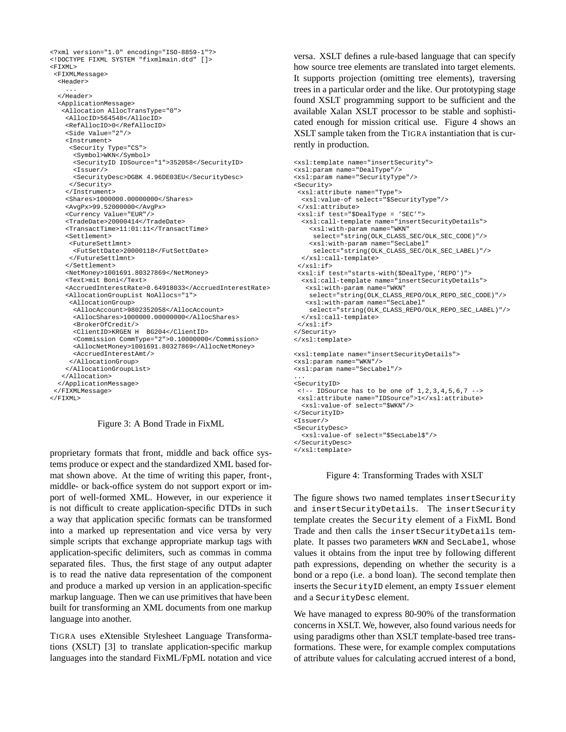```
<?xml version="1.0" encoding="ISO-8859-1"?>
<!DOCTYPE FIXML SYSTEM "fixmlmain.dtd" []>
<FIXML>
 <FIXMLMessage>
  <Header>
    ...
  </Header>
  <ApplicationMessage>
   <Allocation AllocTransType="0">
    <AllocID>564548</AllocID>
    <RefAllocID>0</RefAllocID>
    <Side Value="2"/>
    <Instrument>
     <Security Type="CS">
      <Symbol>WKN</Symbol>
      <SecurityID IDSource="1">352058</SecurityID>
      <Issuer/>
      <SecurityDesc>DGBK 4.96DE03EU</SecurityDesc>
    </Security>
    </Instrument>
    <Shares>1000000.00000000</Shares>
    <AvgPx>99.52000000</AvgPx>
    <Currency Value="EUR"/>
    <TradeDate>20000414</TradeDate>
    <TransactTime>11:01:11</TransactTime>
    <Settlement>
     <FutureSettlmnt>
      <FutSettDate>20000118</FutSettDate>
     </FutureSettlmnt>
    </Settlement>
    <NetMoney>1001691.80327869</NetMoney>
    <Text>mit Boni</Text>
    <AccruedInterestRate>0.64918033</AccruedInterestRate>
    <AllocationGroupList NoAllocs="1">
     <AllocationGroup>
      <AllocAccount>9802352058</AllocAccount>
      <AllocShares>1000000.00000000</AllocShares>
      <BrokerOfCredit/>
      <ClientID>KRGEN H BG204</ClientID>
      <Commission CommType="2">0.10000000</Commission>
      <AllocNetMoney>1001691.80327869</AllocNetMoney>
      <AccruedInterestAmt/>
    </AllocationGroup>
    </AllocationGroupList>
   </Allocation>
  </ApplicationMessage>
 </FIXMLMessage>
</FIXML>
```
Figure 3: A Bond Trade in FixML

proprietary formats that front, middle and back office systems produce or expect and the standardized XML based format shown above. At the time of writing this paper, front-, middle- or back-office system do not support export or import of well-formed XML. However, in our experience it is not difficult to create application-specific DTDs in such a way that application specific formats can be transformed into a marked up representation and vice versa by very simple scripts that exchange appropriate markup tags with application-specific delimiters, such as commas in comma separated files. Thus, the first stage of any output adapter is to read the native data representation of the component and produce a marked up version in an application-specific markup language. Then we can use primitives that have been built for transforming an XML documents from one markup language into another.

TIGRA uses eXtensible Stylesheet Language Transformations (XSLT) [3] to translate application-specific markup languages into the standard FixML/FpML notation and vice

versa. XSLT defines a rule-based language that can specify how source tree elements are translated into target elements. It supports projection (omitting tree elements), traversing trees in a particular order and the like. Our prototyping stage found XSLT programming support to be sufficient and the available Xalan XSLT processor to be stable and sophisticated enough for mission critical use. Figure 4 shows an XSLT sample taken from the TIGRA instantiation that is currently in production.

```
<xsl:template name="insertSecurity">
<xsl:param name="DealType"/>
<xsl:param name="SecurityType"/>
<Security>
 <xsl:attribute name="Type">
  <xsl:value-of select="$SecurityType"/>
 </xsl:attribute>
 <xsl:if test="$DealType = 'SEC'">
 <xsl:call-template name="insertSecurityDetails">
    <xsl:with-param name="WKN"
     select="string(OLK_CLASS_SEC/OLK_SEC_CODE)"/>
    <xsl:with-param name="SecLabel"
     select="string(OLK_CLASS_SEC/OLK_SEC_LABEL)"/>
  </xsl:call-template>
 \langle xsl:if>
 <xsl:if test="starts-with($DealType,'REPO')">
 <xsl:call-template name="insertSecurityDetails">
   <xsl:with-param name="WKN"
   select="string(OLK_CLASS_REPO/OLK_REPO_SEC_CODE)"/>
  <xsl:with-param name="SecLabel"
   select="string(OLK_CLASS_REPO/OLK_REPO_SEC_LABEL)"/>
 </xsl:call-template>
 \langle xsl:if>
</Security>
</xsl:template>
<xsl:template name="insertSecurityDetails">
<xsl:param name="WKN"/>
<xsl:param name="SecLabel"/>
...
<SecurityID>
 \leq -- IDSource has to be one of 1, 2, 3, 4, 5, 6, 7 -->
 <xsl:attribute name="IDSource">1</xsl:attribute>
  <xsl:value-of select="$WKN"/>
</SecurityID>
<Issuer/>
<SecurityDesc>
  <xsl:value-of select="$SecLabel$"/>
</SecurityDesc>
</xsl:template>
```
#### Figure 4: Transforming Trades with XSLT

The figure shows two named templates insertSecurity and insertSecurityDetails. The insertSecurity template creates the Security element of a FixML Bond Trade and then calls the insertSecurityDetails template. It passes two parameters WKN and SecLabel, whose values it obtains from the input tree by following different path expressions, depending on whether the security is a bond or a repo (i.e. a bond loan). The second template then inserts the SecurityID element, an empty Issuer element and a SecurityDesc element.

We have managed to express 80-90% of the transformation concerns in XSLT. We, however, also found various needs for using paradigms other than XSLT template-based tree transformations. These were, for example complex computations of attribute values for calculating accrued interest of a bond,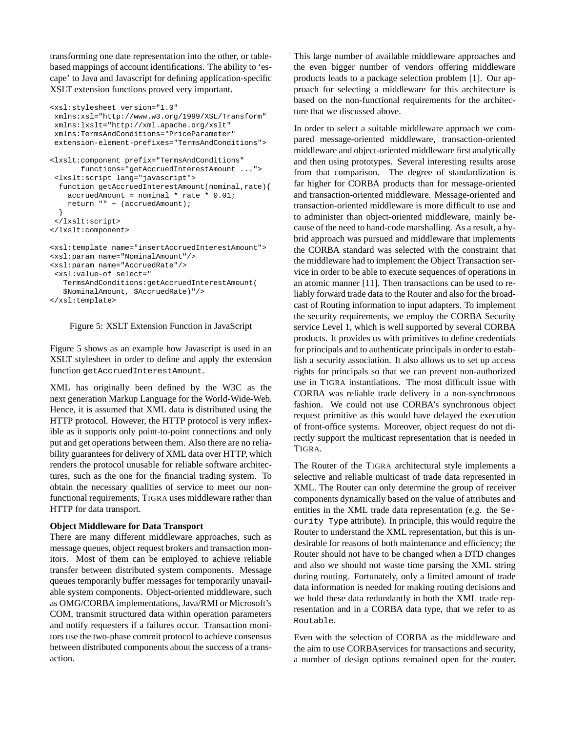transforming one date representation into the other, or tablebased mappings of account identifications. The ability to 'escape' to Java and Javascript for defining application-specific XSLT extension functions proved very important.

```
<xsl:stylesheet version="1.0"
xmlns:xsl="http://www.w3.org/1999/XSL/Transform"
xmlns:lxslt="http://xml.apache.org/xslt"
xmlns:TermsAndConditions="PriceParameter"
 extension-element-prefixes="TermsAndConditions">
<lxslt:component prefix="TermsAndConditions"
       functions="getAccruedInterestAmount ...">
 <lxslt:script lang="javascript">
 function getAccruedInterestAmount(nominal,rate){
    accruedAmount = nominal * rate * 0.01;
    return "" + (accruedAmount);
  }
 </lxslt:script>
</lxslt:component>
<xsl:template name="insertAccruedInterestAmount">
<xsl:param name="NominalAmount"/>
<xsl:param name="AccruedRate"/>
 <xsl:value-of select="
   TermsAndConditions:getAccruedInterestAmount(
   $NominalAmount, $AccruedRate)"/>
</xsl:template>
```


Figure 5 shows as an example how Javascript is used in an XSLT stylesheet in order to define and apply the extension function getAccruedInterestAmount.

XML has originally been defined by the W3C as the next generation Markup Language for the World-Wide-Web. Hence, it is assumed that XML data is distributed using the HTTP protocol. However, the HTTP protocol is very inflexible as it supports only point-to-point connections and only put and get operations between them. Also there are no reliability guarantees for delivery of XML data over HTTP, which renders the protocol unusable for reliable software architectures, such as the one for the financial trading system. To obtain the necessary qualities of service to meet our nonfunctional requirements, TIGRA uses middleware rather than HTTP for data transport.

#### **Object Middleware for Data Transport**

There are many different middleware approaches, such as message queues, object request brokers and transaction monitors. Most of them can be employed to achieve reliable transfer between distributed system components. Message queues temporarily buffer messages for temporarily unavailable system components. Object-oriented middleware, such as OMG/CORBA implementations, Java/RMI or Microsoft's COM, transmit structured data within operation parameters and notify requesters if a failures occur. Transaction monitors use the two-phase commit protocol to achieve consensus between distributed components about the success of a transaction.

This large number of available middleware approaches and the even bigger number of vendors offering middleware products leads to a package selection problem [1]. Our approach for selecting a middleware for this architecture is based on the non-functional requirements for the architecture that we discussed above.

In order to select a suitable middleware approach we compared message-oriented middleware, transaction-oriented middleware and object-oriented middleware first analytically and then using prototypes. Several interesting results arose from that comparison. The degree of standardization is far higher for CORBA products than for message-oriented and transaction-oriented middleware. Message-oriented and transaction-oriented middleware is more difficult to use and to administer than object-oriented middleware, mainly because of the need to hand-code marshalling. As a result, a hybrid approach was pursued and middleware that implements the CORBA standard was selected with the constraint that the middleware had to implement the Object Transaction service in order to be able to execute sequences of operations in an atomic manner [11]. Then transactions can be used to reliably forward trade data to the Router and also for the broadcast of Routing information to input adapters. To implement the security requirements, we employ the CORBA Security service Level 1, which is well supported by several CORBA products. It provides us with primitives to define credentials for principals and to authenticate principals in order to establish a security association. It also allows us to set up access rights for principals so that we can prevent non-authorized use in TIGRA instantiations. The most difficult issue with CORBA was reliable trade delivery in a non-synchronous fashion. We could not use CORBA's synchronous object request primitive as this would have delayed the execution of front-office systems. Moreover, object request do not directly support the multicast representation that is needed in TIGRA.

The Router of the TIGRA architectural style implements a selective and reliable multicast of trade data represented in XML. The Router can only determine the group of receiver components dynamically based on the value of attributes and entities in the XML trade data representation (e.g. the Security Type attribute). In principle, this would require the Router to understand the XML representation, but this is undesirable for reasons of both maintenance and efficiency; the Router should not have to be changed when a DTD changes and also we should not waste time parsing the XML string during routing. Fortunately, only a limited amount of trade data information is needed for making routing decisions and we hold these data redundantly in both the XML trade representation and in a CORBA data type, that we refer to as Routable.

Even with the selection of CORBA as the middleware and the aim to use CORBAservices for transactions and security, a number of design options remained open for the router.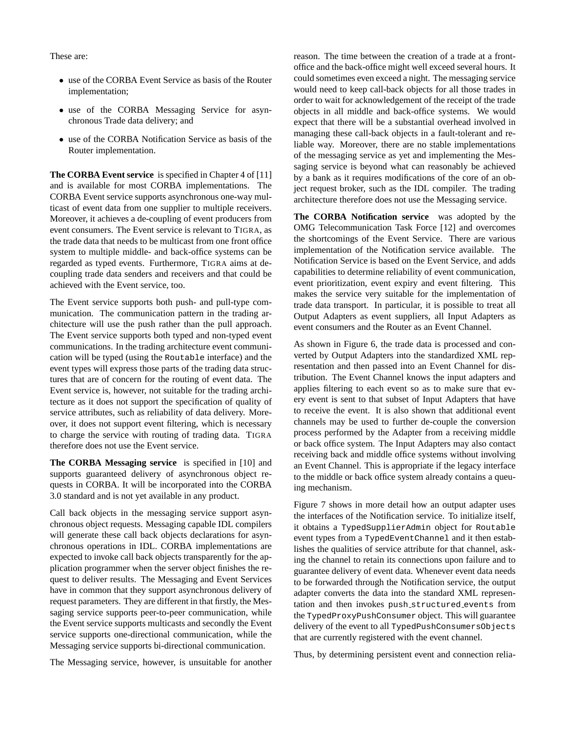These are:

- use of the CORBA Event Service as basis of the Router implementation;
- use of the CORBA Messaging Service for asynchronous Trade data delivery; and
- use of the CORBA Notification Service as basis of the Router implementation.

**The CORBA Event service** is specified in Chapter 4 of [11] and is available for most CORBA implementations. The CORBA Event service supports asynchronous one-way multicast of event data from one supplier to multiple receivers. Moreover, it achieves a de-coupling of event producers from event consumers. The Event service is relevant to TIGRA, as the trade data that needs to be multicast from one front office system to multiple middle- and back-office systems can be regarded as typed events. Furthermore, TIGRA aims at decoupling trade data senders and receivers and that could be achieved with the Event service, too.

The Event service supports both push- and pull-type communication. The communication pattern in the trading architecture will use the push rather than the pull approach. The Event service supports both typed and non-typed event communications. In the trading architecture event communication will be typed (using the Routable interface) and the event types will express those parts of the trading data structures that are of concern for the routing of event data. The Event service is, however, not suitable for the trading architecture as it does not support the specification of quality of service attributes, such as reliability of data delivery. Moreover, it does not support event filtering, which is necessary to charge the service with routing of trading data. TIGRA therefore does not use the Event service.

**The CORBA Messaging service** is specified in [10] and supports guaranteed delivery of asynchronous object requests in CORBA. It will be incorporated into the CORBA 3.0 standard and is not yet available in any product.

Call back objects in the messaging service support asynchronous object requests. Messaging capable IDL compilers will generate these call back objects declarations for asynchronous operations in IDL. CORBA implementations are expected to invoke call back objects transparently for the application programmer when the server object finishes the request to deliver results. The Messaging and Event Services have in common that they support asynchronous delivery of request parameters. They are different in that firstly, the Messaging service supports peer-to-peer communication, while the Event service supports multicasts and secondly the Event service supports one-directional communication, while the Messaging service supports bi-directional communication.

The Messaging service, however, is unsuitable for another

reason. The time between the creation of a trade at a frontoffice and the back-office might well exceed several hours. It could sometimes even exceed a night. The messaging service would need to keep call-back objects for all those trades in order to wait for acknowledgement of the receipt of the trade objects in all middle and back-office systems. We would expect that there will be a substantial overhead involved in managing these call-back objects in a fault-tolerant and reliable way. Moreover, there are no stable implementations of the messaging service as yet and implementing the Messaging service is beyond what can reasonably be achieved by a bank as it requires modifications of the core of an object request broker, such as the IDL compiler. The trading architecture therefore does not use the Messaging service.

**The CORBA Notification service** was adopted by the OMG Telecommunication Task Force [12] and overcomes the shortcomings of the Event Service. There are various implementation of the Notification service available. The Notification Service is based on the Event Service, and adds capabilities to determine reliability of event communication, event prioritization, event expiry and event filtering. This makes the service very suitable for the implementation of trade data transport. In particular, it is possible to treat all Output Adapters as event suppliers, all Input Adapters as event consumers and the Router as an Event Channel.

As shown in Figure 6, the trade data is processed and converted by Output Adapters into the standardized XML representation and then passed into an Event Channel for distribution. The Event Channel knows the input adapters and applies filtering to each event so as to make sure that every event is sent to that subset of Input Adapters that have to receive the event. It is also shown that additional event channels may be used to further de-couple the conversion process performed by the Adapter from a receiving middle or back office system. The Input Adapters may also contact receiving back and middle office systems without involving an Event Channel. This is appropriate if the legacy interface to the middle or back office system already contains a queuing mechanism.

Figure 7 shows in more detail how an output adapter uses the interfaces of the Notification service. To initialize itself, it obtains a TypedSupplierAdmin object for Routable event types from a TypedEventChannel and it then establishes the qualities of service attribute for that channel, asking the channel to retain its connections upon failure and to guarantee delivery of event data. Whenever event data needs to be forwarded through the Notification service, the output adapter converts the data into the standard XML representation and then invokes push structured events from the TypedProxyPushConsumer object. This will guarantee delivery of the event to all TypedPushConsumersObjects that are currently registered with the event channel.

Thus, by determining persistent event and connection relia-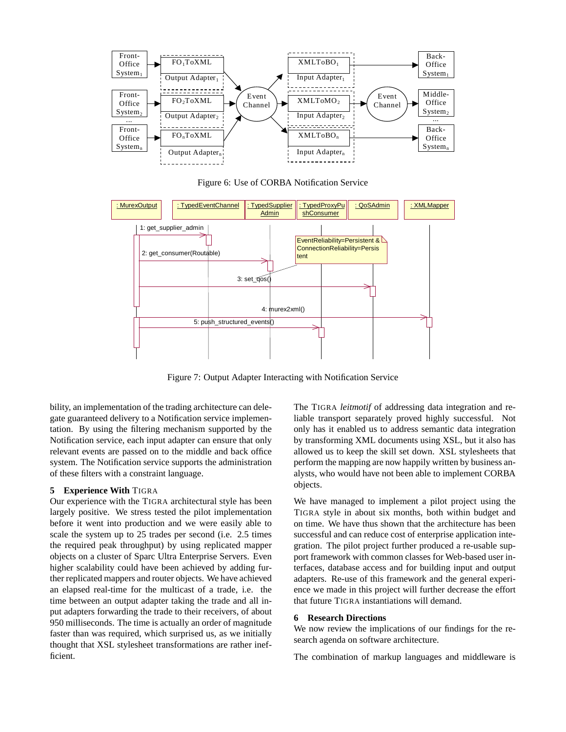

Figure 6: Use of CORBA Notification Service



Figure 7: Output Adapter Interacting with Notification Service

bility, an implementation of the trading architecture can delegate guaranteed delivery to a Notification service implementation. By using the filtering mechanism supported by the Notification service, each input adapter can ensure that only relevant events are passed on to the middle and back office system. The Notification service supports the administration of these filters with a constraint language.

#### **5 Experience With** TIGRA

Our experience with the TIGRA architectural style has been largely positive. We stress tested the pilot implementation before it went into production and we were easily able to scale the system up to 25 trades per second (i.e. 2.5 times the required peak throughput) by using replicated mapper objects on a cluster of Sparc Ultra Enterprise Servers. Even higher scalability could have been achieved by adding further replicated mappers and router objects. We have achieved an elapsed real-time for the multicast of a trade, i.e. the time between an output adapter taking the trade and all input adapters forwarding the trade to their receivers, of about 950 milliseconds. The time is actually an order of magnitude faster than was required, which surprised us, as we initially thought that XSL stylesheet transformations are rather inefficient.

The TIGRA *leitmotif* of addressing data integration and reliable transport separately proved highly successful. Not only has it enabled us to address semantic data integration by transforming XML documents using XSL, but it also has allowed us to keep the skill set down. XSL stylesheets that perform the mapping are now happily written by business analysts, who would have not been able to implement CORBA objects.

We have managed to implement a pilot project using the TIGRA style in about six months, both within budget and on time. We have thus shown that the architecture has been successful and can reduce cost of enterprise application integration. The pilot project further produced a re-usable support framework with common classes for Web-based user interfaces, database access and for building input and output adapters. Re-use of this framework and the general experience we made in this project will further decrease the effort that future TIGRA instantiations will demand.

#### **6 Research Directions**

We now review the implications of our findings for the research agenda on software architecture.

The combination of markup languages and middleware is